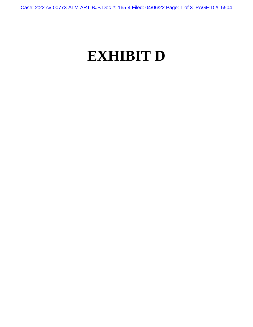Case: 2:22-cv-00773-ALM-ART-BJB Doc #: 165-4 Filed: 04/06/22 Page: 1 of 3 PAGEID #: 5504

## **EXHIBIT D**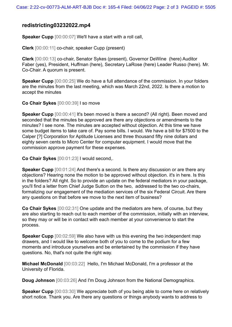## **redistricting03232022.mp4**

**Speaker Cupp** [00:00:07] We'll have a start with a roll call,

**Clerk** [00:00:11] co-chair, speaker Cupp (present)

**Clerk** [00:00:13] co-chair, Senator Sykes (present), Governor DeWine (here) Auditor Faber (yes), President, Huffman (here), Secretary LaRose (here) Leader Russo (here). Mr. Co-Chair. A quorum is present.

**Speaker Cupp** [00:00:25] We do have a full attendance of the commission. In your folders are the minutes from the last meeting, which was March 22nd, 2022. Is there a motion to accept the minutes

**Co Chair Sykes** [00:00:39] I so move

**Speaker Cupp** [00:00:41] It's been moved is there a second? (All right). Been moved and seconded that the minutes be approved are there any objections or amendments to the minutes? I see none. The minutes are accepted without objection. At this time we have some budget items to take care of. Pay some bills. I would. We have a bill for \$7500 to the Calper [?] Corporation for Aptitude Licenses and three thousand fifty nine dollars and eighty seven cents to Micro Center for computer equipment. I would move that the commission approve payment for these expenses.

**Co Chair Sykes** [00:01:23] I would second,.

**Speaker Cupp** [00:01:24] And there's a second. Is there any discussion or are there any objections? Hearing none the motion to be approved without objection. it's in here. Is this in the folders? All right. So to provide an update on the federal mediators in your package, you'll find a letter from Chief Judge Sutton on the two, addressed to the two co-chairs, formalizing our engagement of the mediation services of the six Federal Circuit. Are there any questions on that before we move to the next item of business?

**Co Chair Sykes** [00:02:31] One update and the mediators are here, of course, but they are also starting to reach out to each member of the commission, initially with an interview, so they may or will be in contact with each member at your convenience to start the process.

**Speaker Cupp** [00:02:59] We also have with us this evening the two independent map drawers, and I would like to welcome both of you to come to the podium for a few moments and introduce yourselves and be entertained by the commission if they have questions. No, that's not quite the right way.

**Michael McDonald** [00:03:22] Hello, I'm Michael McDonald, I'm a professor at the University of Florida.

**Doug Johnson** [00:03:26] And I'm Doug Johnson from the National Demographics.

**Speaker Cupp** [00:03:30] We appreciate both of you being able to come here on relatively short notice. Thank you. Are there any questions or things anybody wants to address to